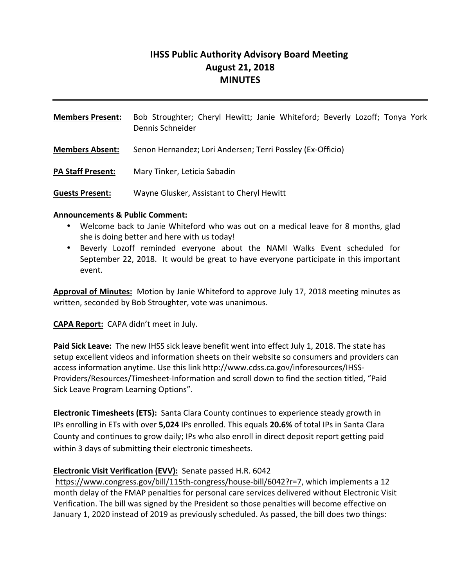# **IHSS Public Authority Advisory Board Meeting August 21, 2018 MINUTES**

| <b>Members Present:</b>  | Bob Stroughter; Cheryl Hewitt; Janie Whiteford; Beverly Lozoff; Tonya York<br>Dennis Schneider |
|--------------------------|------------------------------------------------------------------------------------------------|
| <b>Members Absent:</b>   | Senon Hernandez; Lori Andersen; Terri Possley (Ex-Officio)                                     |
| <b>PA Staff Present:</b> | Mary Tinker, Leticia Sabadin                                                                   |
| <b>Guests Present:</b>   | Wayne Glusker, Assistant to Cheryl Hewitt                                                      |

#### **Announcements & Public Comment:**

- Welcome back to Janie Whiteford who was out on a medical leave for 8 months, glad she is doing better and here with us today!
- Beverly Lozoff reminded everyone about the NAMI Walks Event scheduled for September 22, 2018. It would be great to have everyone participate in this important event.

**Approval of Minutes:** Motion by Janie Whiteford to approve July 17, 2018 meeting minutes as written, seconded by Bob Stroughter, vote was unanimous.

**CAPA Report:** CAPA didn't meet in July.

**Paid Sick Leave:** The new IHSS sick leave benefit went into effect July 1, 2018. The state has setup excellent videos and information sheets on their website so consumers and providers can access information anytime. Use this link http://www.cdss.ca.gov/inforesources/IHSS-Providers/Resources/Timesheet-Information and scroll down to find the section titled, "Paid Sick Leave Program Learning Options".

**Electronic Timesheets (ETS):** Santa Clara County continues to experience steady growth in IPs enrolling in ETs with over **5,024** IPs enrolled. This equals **20.6%** of total IPs in Santa Clara County and continues to grow daily; IPs who also enroll in direct deposit report getting paid within 3 days of submitting their electronic timesheets.

#### **Electronic Visit Verification (EVV):** Senate passed H.R. 6042

https://www.congress.gov/bill/115th-congress/house-bill/6042?r=7, which implements a 12 month delay of the FMAP penalties for personal care services delivered without Electronic Visit Verification. The bill was signed by the President so those penalties will become effective on January 1, 2020 instead of 2019 as previously scheduled. As passed, the bill does two things: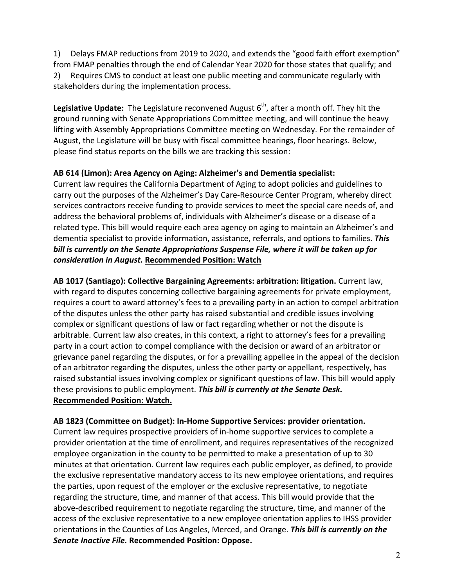1) Delays FMAP reductions from 2019 to 2020, and extends the "good faith effort exemption" from FMAP penalties through the end of Calendar Year 2020 for those states that qualify; and 2) Requires CMS to conduct at least one public meeting and communicate regularly with stakeholders during the implementation process.

Legislative Update: The Legislature reconvened August 6<sup>th</sup>, after a month off. They hit the ground running with Senate Appropriations Committee meeting, and will continue the heavy lifting with Assembly Appropriations Committee meeting on Wednesday. For the remainder of August, the Legislature will be busy with fiscal committee hearings, floor hearings. Below, please find status reports on the bills we are tracking this session:

### AB 614 (Limon): Area Agency on Aging: Alzheimer's and Dementia specialist:

Current law requires the California Department of Aging to adopt policies and guidelines to carry out the purposes of the Alzheimer's Day Care-Resource Center Program, whereby direct services contractors receive funding to provide services to meet the special care needs of, and address the behavioral problems of, individuals with Alzheimer's disease or a disease of a related type. This bill would require each area agency on aging to maintain an Alzheimer's and dementia specialist to provide information, assistance, referrals, and options to families. *This* bill is currently on the Senate Appropriations Suspense File, where it will be taken up for *consideration in August.* **Recommended Position: Watch**

AB 1017 (Santiago): Collective Bargaining Agreements: arbitration: litigation. Current law, with regard to disputes concerning collective bargaining agreements for private employment, requires a court to award attorney's fees to a prevailing party in an action to compel arbitration of the disputes unless the other party has raised substantial and credible issues involving complex or significant questions of law or fact regarding whether or not the dispute is arbitrable. Current law also creates, in this context, a right to attorney's fees for a prevailing party in a court action to compel compliance with the decision or award of an arbitrator or grievance panel regarding the disputes, or for a prevailing appellee in the appeal of the decision of an arbitrator regarding the disputes, unless the other party or appellant, respectively, has raised substantial issues involving complex or significant questions of law. This bill would apply these provisions to public employment. **This bill is currently at the Senate Desk. Recommended Position: Watch.**

#### AB 1823 (Committee on Budget): In-Home Supportive Services: provider orientation.

Current law requires prospective providers of in-home supportive services to complete a provider orientation at the time of enrollment, and requires representatives of the recognized employee organization in the county to be permitted to make a presentation of up to 30 minutes at that orientation. Current law requires each public employer, as defined, to provide the exclusive representative mandatory access to its new employee orientations, and requires the parties, upon request of the employer or the exclusive representative, to negotiate regarding the structure, time, and manner of that access. This bill would provide that the above-described requirement to negotiate regarding the structure, time, and manner of the access of the exclusive representative to a new employee orientation applies to IHSS provider orientations in the Counties of Los Angeles, Merced, and Orange. This bill is currently on the **Senate Inactive File. Recommended Position: Oppose.**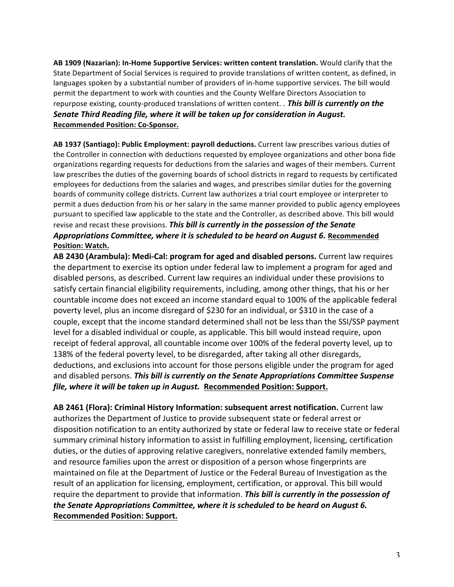AB 1909 (Nazarian): In-Home Supportive Services: written content translation. Would clarify that the State Department of Social Services is required to provide translations of written content, as defined, in languages spoken by a substantial number of providers of in-home supportive services. The bill would permit the department to work with counties and the County Welfare Directors Association to repurpose existing, county-produced translations of written content. . **This bill is currently on the** Senate Third Reading file, where it will be taken up for consideration in August. **Recommended Position: Co-Sponsor.**

AB 1937 (Santiago): Public Employment: payroll deductions. Current law prescribes various duties of the Controller in connection with deductions requested by employee organizations and other bona fide organizations regarding requests for deductions from the salaries and wages of their members. Current law prescribes the duties of the governing boards of school districts in regard to requests by certificated employees for deductions from the salaries and wages, and prescribes similar duties for the governing boards of community college districts. Current law authorizes a trial court employee or interpreter to permit a dues deduction from his or her salary in the same manner provided to public agency employees pursuant to specified law applicable to the state and the Controller, as described above. This bill would revise and recast these provisions. This bill is currently in the possession of the Senate Appropriations Committee, where it is scheduled to be heard on August 6. Recommended **Position: Watch.**

AB 2430 (Arambula): Medi-Cal: program for aged and disabled persons. Current law requires the department to exercise its option under federal law to implement a program for aged and disabled persons, as described. Current law requires an individual under these provisions to satisfy certain financial eligibility requirements, including, among other things, that his or her countable income does not exceed an income standard equal to 100% of the applicable federal poverty level, plus an income disregard of \$230 for an individual, or \$310 in the case of a couple, except that the income standard determined shall not be less than the SSI/SSP payment level for a disabled individual or couple, as applicable. This bill would instead require, upon receipt of federal approval, all countable income over 100% of the federal poverty level, up to 138% of the federal poverty level, to be disregarded, after taking all other disregards, deductions, and exclusions into account for those persons eligible under the program for aged and disabled persons. This bill is currently on the Senate Appropriations Committee Suspense file, where it will be taken up in August. Recommended Position: Support.

AB 2461 (Flora): Criminal History Information: subsequent arrest notification. Current law authorizes the Department of Justice to provide subsequent state or federal arrest or disposition notification to an entity authorized by state or federal law to receive state or federal summary criminal history information to assist in fulfilling employment, licensing, certification duties, or the duties of approving relative caregivers, nonrelative extended family members, and resource families upon the arrest or disposition of a person whose fingerprints are maintained on file at the Department of Justice or the Federal Bureau of Investigation as the result of an application for licensing, employment, certification, or approval. This bill would require the department to provide that information. This bill is currently in the possession of the Senate Appropriations Committee, where it is scheduled to be heard on August 6. **Recommended Position: Support.**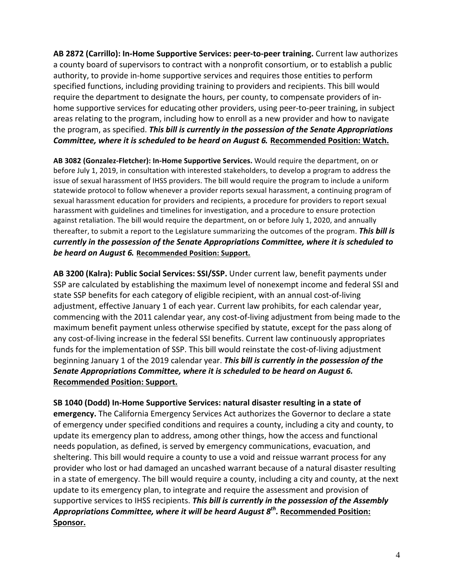AB 2872 (Carrillo): In-Home Supportive Services: peer-to-peer training. Current law authorizes a county board of supervisors to contract with a nonprofit consortium, or to establish a public authority, to provide in-home supportive services and requires those entities to perform specified functions, including providing training to providers and recipients. This bill would require the department to designate the hours, per county, to compensate providers of inhome supportive services for educating other providers, using peer-to-peer training, in subject areas relating to the program, including how to enroll as a new provider and how to navigate the program, as specified. This bill is currently in the possession of the Senate Appropriations **Committee, where it is scheduled to be heard on August 6. Recommended Position: Watch.** 

AB 3082 (Gonzalez-Fletcher): In-Home Supportive Services. Would require the department, on or before July 1, 2019, in consultation with interested stakeholders, to develop a program to address the issue of sexual harassment of IHSS providers. The bill would require the program to include a uniform statewide protocol to follow whenever a provider reports sexual harassment, a continuing program of sexual harassment education for providers and recipients, a procedure for providers to report sexual harassment with guidelines and timelines for investigation, and a procedure to ensure protection against retaliation. The bill would require the department, on or before July 1, 2020, and annually thereafter, to submit a report to the Legislature summarizing the outcomes of the program. **This bill is** *currently in the possession of the Senate Appropriations Committee, where it is scheduled to be heard on August 6. Recommended Position: Support.* 

AB 3200 (Kalra): Public Social Services: SSI/SSP. Under current law, benefit payments under SSP are calculated by establishing the maximum level of nonexempt income and federal SSI and state SSP benefits for each category of eligible recipient, with an annual cost-of-living adjustment, effective January 1 of each year. Current law prohibits, for each calendar year, commencing with the 2011 calendar year, any cost-of-living adjustment from being made to the maximum benefit payment unless otherwise specified by statute, except for the pass along of any cost-of-living increase in the federal SSI benefits. Current law continuously appropriates funds for the implementation of SSP. This bill would reinstate the cost-of-living adjustment beginning January 1 of the 2019 calendar year. This bill is currently in the possession of the Senate Appropriations Committee, where it is scheduled to be heard on August 6. **Recommended Position: Support.**

SB 1040 (Dodd) In-Home Supportive Services: natural disaster resulting in a state of **emergency.** The California Emergency Services Act authorizes the Governor to declare a state of emergency under specified conditions and requires a county, including a city and county, to update its emergency plan to address, among other things, how the access and functional needs population, as defined, is served by emergency communications, evacuation, and sheltering. This bill would require a county to use a void and reissue warrant process for any provider who lost or had damaged an uncashed warrant because of a natural disaster resulting in a state of emergency. The bill would require a county, including a city and county, at the next update to its emergency plan, to integrate and require the assessment and provision of supportive services to IHSS recipients. This bill is currently in the possession of the Assembly *Appropriations Committee, where it will be heard August 8<sup>th</sup>. Recommended Position:* **Sponsor.**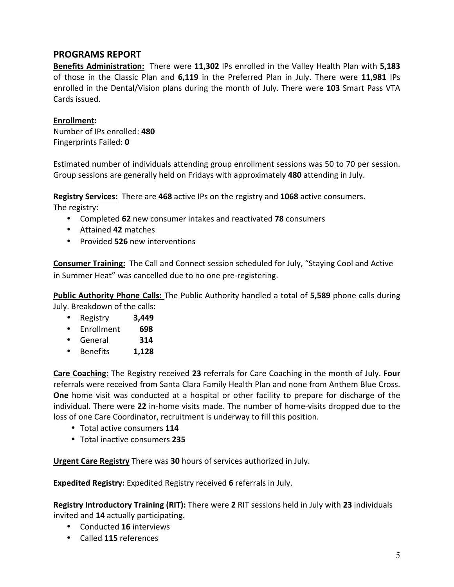## **PROGRAMS REPORT**

**Benefits Administration:** There were 11,302 IPs enrolled in the Valley Health Plan with 5,183 of those in the Classic Plan and 6,119 in the Preferred Plan in July. There were 11,981 IPs enrolled in the Dental/Vision plans during the month of July. There were **103** Smart Pass VTA Cards issued.

### **Enrollment:**

Number of IPs enrolled: **480** Fingerprints Failed: **0**

Estimated number of individuals attending group enrollment sessions was 50 to 70 per session. Group sessions are generally held on Fridays with approximately 480 attending in July.

**Registry Services:** There are 468 active IPs on the registry and 1068 active consumers. The registry:

- Completed 62 new consumer intakes and reactivated 78 consumers
- Attained **42** matches
- Provided **526** new interventions

**Consumer Training:** The Call and Connect session scheduled for July, "Staying Cool and Active in Summer Heat" was cancelled due to no one pre-registering.

**Public Authority Phone Calls:** The Public Authority handled a total of 5,589 phone calls during July. Breakdown of the calls:

- Registry **3,449**
- Enrollment  **698**
- General  **314**
- Benefits **1,128**

**Care Coaching:** The Registry received 23 referrals for Care Coaching in the month of July. **Four** referrals were received from Santa Clara Family Health Plan and none from Anthem Blue Cross. **One** home visit was conducted at a hospital or other facility to prepare for discharge of the individual. There were 22 in-home visits made. The number of home-visits dropped due to the loss of one Care Coordinator, recruitment is underway to fill this position.

- Total active consumers **114**
- Total inactive consumers 235

**Urgent Care Registry** There was 30 hours of services authorized in July.

**Expedited Registry:** Expedited Registry received 6 referrals in July.

**Registry Introductory Training (RIT):** There were 2 RIT sessions held in July with 23 individuals invited and 14 actually participating.

- Conducted **16** interviews
- Called **115** references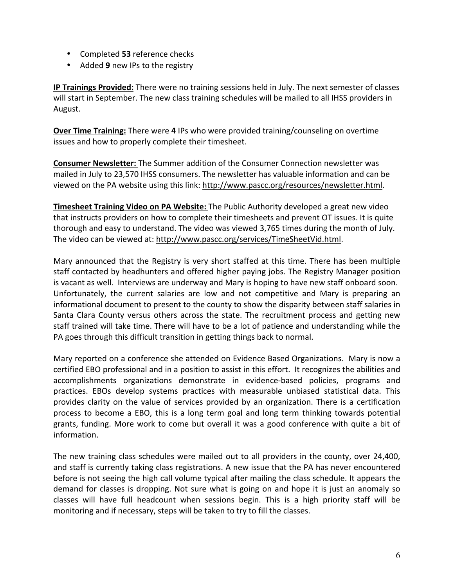- Completed 53 reference checks
- Added 9 new IPs to the registry

**IP Trainings Provided:** There were no training sessions held in July. The next semester of classes will start in September. The new class training schedules will be mailed to all IHSS providers in August.

**Over Time Training:** There were 4 IPs who were provided training/counseling on overtime issues and how to properly complete their timesheet.

**Consumer Newsletter:** The Summer addition of the Consumer Connection newsletter was mailed in July to 23,570 IHSS consumers. The newsletter has valuable information and can be viewed on the PA website using this link: http://www.pascc.org/resources/newsletter.html.

**Timesheet Training Video on PA Website:** The Public Authority developed a great new video that instructs providers on how to complete their timesheets and prevent OT issues. It is quite thorough and easy to understand. The video was viewed 3,765 times during the month of July. The video can be viewed at: http://www.pascc.org/services/TimeSheetVid.html.

Mary announced that the Registry is very short staffed at this time. There has been multiple staff contacted by headhunters and offered higher paying jobs. The Registry Manager position is vacant as well. Interviews are underway and Mary is hoping to have new staff onboard soon. Unfortunately, the current salaries are low and not competitive and Mary is preparing an informational document to present to the county to show the disparity between staff salaries in Santa Clara County versus others across the state. The recruitment process and getting new staff trained will take time. There will have to be a lot of patience and understanding while the PA goes through this difficult transition in getting things back to normal.

Mary reported on a conference she attended on Evidence Based Organizations. Mary is now a certified EBO professional and in a position to assist in this effort. It recognizes the abilities and accomplishments organizations demonstrate in evidence-based policies, programs and practices. EBOs develop systems practices with measurable unbiased statistical data. This provides clarity on the value of services provided by an organization. There is a certification process to become a EBO, this is a long term goal and long term thinking towards potential grants, funding. More work to come but overall it was a good conference with quite a bit of information.

The new training class schedules were mailed out to all providers in the county, over 24,400, and staff is currently taking class registrations. A new issue that the PA has never encountered before is not seeing the high call volume typical after mailing the class schedule. It appears the demand for classes is dropping. Not sure what is going on and hope it is just an anomaly so classes will have full headcount when sessions begin. This is a high priority staff will be monitoring and if necessary, steps will be taken to try to fill the classes.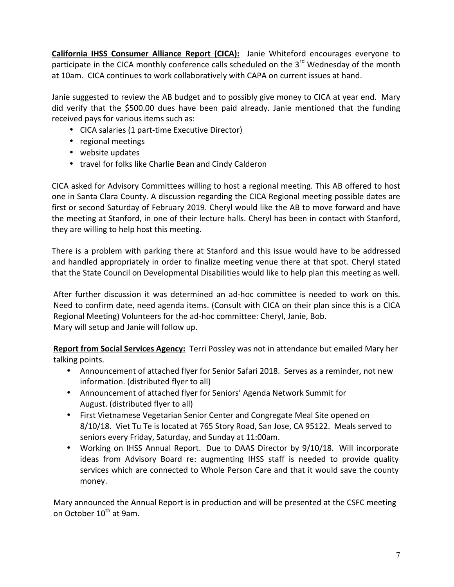**California IHSS Consumer Alliance Report (CICA):** Janie Whiteford encourages everyone to participate in the CICA monthly conference calls scheduled on the  $3<sup>rd</sup>$  Wednesday of the month at 10am. CICA continues to work collaboratively with CAPA on current issues at hand.

Janie suggested to review the AB budget and to possibly give money to CICA at year end. Mary did verify that the \$500.00 dues have been paid already. Janie mentioned that the funding received pays for various items such as:

- CICA salaries (1 part-time Executive Director)
- regional meetings
- website updates
- travel for folks like Charlie Bean and Cindy Calderon

CICA asked for Advisory Committees willing to host a regional meeting. This AB offered to host one in Santa Clara County. A discussion regarding the CICA Regional meeting possible dates are first or second Saturday of February 2019. Cheryl would like the AB to move forward and have the meeting at Stanford, in one of their lecture halls. Cheryl has been in contact with Stanford, they are willing to help host this meeting.

There is a problem with parking there at Stanford and this issue would have to be addressed and handled appropriately in order to finalize meeting venue there at that spot. Cheryl stated that the State Council on Developmental Disabilities would like to help plan this meeting as well.

After further discussion it was determined an ad-hoc committee is needed to work on this. Need to confirm date, need agenda items. (Consult with CICA on their plan since this is a CICA Regional Meeting) Volunteers for the ad-hoc committee: Cheryl, Janie, Bob. Mary will setup and Janie will follow up.

Report from Social Services Agency: Terri Possley was not in attendance but emailed Mary her talking points.

- Announcement of attached flyer for Senior Safari 2018. Serves as a reminder, not new information. (distributed flyer to all)
- Announcement of attached flyer for Seniors' Agenda Network Summit for August. (distributed flyer to all)
- First Vietnamese Vegetarian Senior Center and Congregate Meal Site opened on 8/10/18. Viet Tu Te is located at 765 Story Road, San Jose, CA 95122. Meals served to seniors every Friday, Saturday, and Sunday at 11:00am.
- Working on IHSS Annual Report. Due to DAAS Director by 9/10/18. Will incorporate ideas from Advisory Board re: augmenting IHSS staff is needed to provide quality services which are connected to Whole Person Care and that it would save the county money.

Mary announced the Annual Report is in production and will be presented at the CSFC meeting on October 10<sup>th</sup> at 9am.